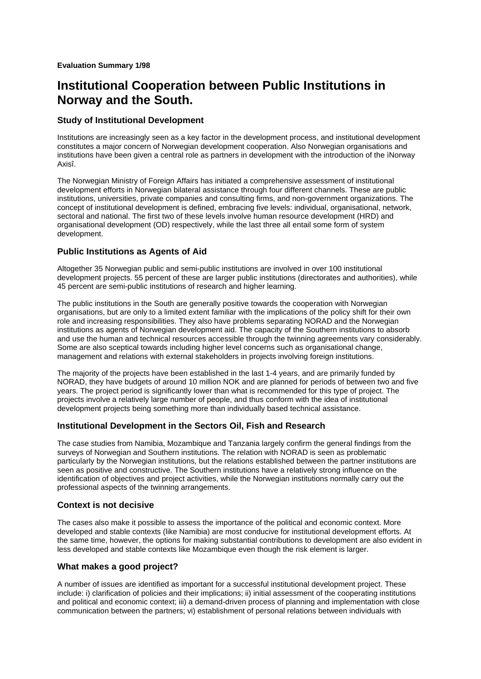# **Institutional Cooperation between Public Institutions in Norway and the South.**

## **Study of Institutional Development**

Institutions are increasingly seen as a key factor in the development process, and institutional development constitutes a major concern of Norwegian development cooperation. Also Norwegian organisations and institutions have been given a central role as partners in development with the introduction of the ìNorway Axisî.

The Norwegian Ministry of Foreign Affairs has initiated a comprehensive assessment of institutional development efforts in Norwegian bilateral assistance through four different channels. These are public institutions, universities, private companies and consulting firms, and non-government organizations. The concept of institutional development is defined, embracing five levels: individual, organisational, network, sectoral and national. The first two of these levels involve human resource development (HRD) and organisational development (OD) respectively, while the last three all entail some form of system development.

## **Public Institutions as Agents of Aid**

Altogether 35 Norwegian public and semi-public institutions are involved in over 100 institutional development projects. 55 percent of these are larger public institutions (directorates and authorities), while 45 percent are semi-public institutions of research and higher learning.

The public institutions in the South are generally positive towards the cooperation with Norwegian organisations, but are only to a limited extent familiar with the implications of the policy shift for their own role and increasing responsibilities. They also have problems separating NORAD and the Norwegian institutions as agents of Norwegian development aid. The capacity of the Southern institutions to absorb and use the human and technical resources accessible through the twinning agreements vary considerably. Some are also sceptical towards including higher level concerns such as organisational change, management and relations with external stakeholders in projects involving foreign institutions.

The majority of the projects have been established in the last 1-4 years, and are primarily funded by NORAD, they have budgets of around 10 million NOK and are planned for periods of between two and five years. The project period is significantly lower than what is recommended for this type of project. The projects involve a relatively large number of people, and thus conform with the idea of institutional development projects being something more than individually based technical assistance.

## **Institutional Development in the Sectors Oil, Fish and Research**

The case studies from Namibia, Mozambique and Tanzania largely confirm the general findings from the surveys of Norwegian and Southern institutions. The relation with NORAD is seen as problematic particularly by the Norwegian institutions, but the relations established between the partner institutions are seen as positive and constructive. The Southern institutions have a relatively strong influence on the identification of objectives and project activities, while the Norwegian institutions normally carry out the professional aspects of the twinning arrangements.

## **Context is not decisive**

The cases also make it possible to assess the importance of the political and economic context. More developed and stable contexts (like Namibia) are most conducive for institutional development efforts. At the same time, however, the options for making substantial contributions to development are also evident in less developed and stable contexts like Mozambique even though the risk element is larger.

## **What makes a good project?**

A number of issues are identified as important for a successful institutional development project. These include: i) clarification of policies and their implications; ii) initial assessment of the cooperating institutions and political and economic context; iii) a demand-driven process of planning and implementation with close communication between the partners; vi) establishment of personal relations between individuals with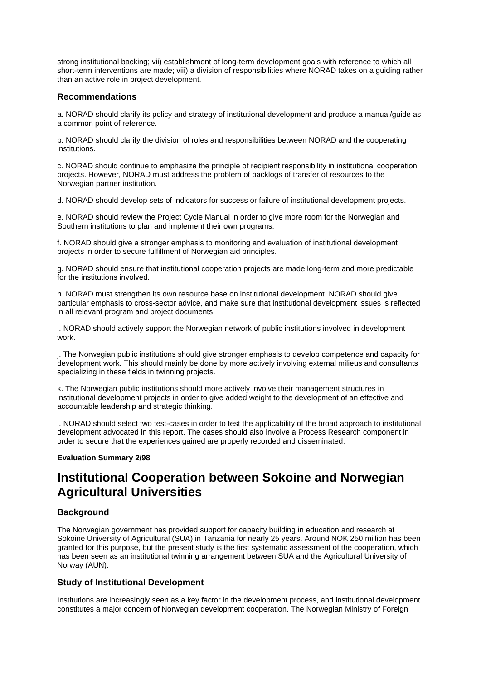strong institutional backing; vii) establishment of long-term development goals with reference to which all short-term interventions are made; viii) a division of responsibilities where NORAD takes on a guiding rather than an active role in project development.

#### **Recommendations**

a. NORAD should clarify its policy and strategy of institutional development and produce a manual/guide as a common point of reference.

b. NORAD should clarify the division of roles and responsibilities between NORAD and the cooperating institutions.

c. NORAD should continue to emphasize the principle of recipient responsibility in institutional cooperation projects. However, NORAD must address the problem of backlogs of transfer of resources to the Norwegian partner institution.

d. NORAD should develop sets of indicators for success or failure of institutional development projects.

e. NORAD should review the Project Cycle Manual in order to give more room for the Norwegian and Southern institutions to plan and implement their own programs.

f. NORAD should give a stronger emphasis to monitoring and evaluation of institutional development projects in order to secure fulfillment of Norwegian aid principles.

g. NORAD should ensure that institutional cooperation projects are made long-term and more predictable for the institutions involved.

h. NORAD must strengthen its own resource base on institutional development. NORAD should give particular emphasis to cross-sector advice, and make sure that institutional development issues is reflected in all relevant program and project documents.

i. NORAD should actively support the Norwegian network of public institutions involved in development work.

j. The Norwegian public institutions should give stronger emphasis to develop competence and capacity for development work. This should mainly be done by more actively involving external milieus and consultants specializing in these fields in twinning projects.

k. The Norwegian public institutions should more actively involve their management structures in institutional development projects in order to give added weight to the development of an effective and accountable leadership and strategic thinking.

l. NORAD should select two test-cases in order to test the applicability of the broad approach to institutional development advocated in this report. The cases should also involve a Process Research component in order to secure that the experiences gained are properly recorded and disseminated.

#### **Evaluation Summary 2/98**

# **Institutional Cooperation between Sokoine and Norwegian Agricultural Universities**

## **Background**

The Norwegian government has provided support for capacity building in education and research at Sokoine University of Agricultural (SUA) in Tanzania for nearly 25 years. Around NOK 250 million has been granted for this purpose, but the present study is the first systematic assessment of the cooperation, which has been seen as an institutional twinning arrangement between SUA and the Agricultural University of Norway (AUN).

## **Study of Institutional Development**

Institutions are increasingly seen as a key factor in the development process, and institutional development constitutes a major concern of Norwegian development cooperation. The Norwegian Ministry of Foreign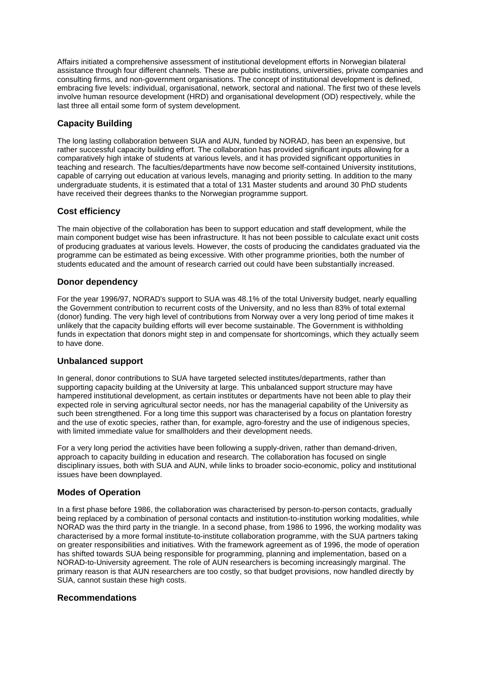Affairs initiated a comprehensive assessment of institutional development efforts in Norwegian bilateral assistance through four different channels. These are public institutions, universities, private companies and consulting firms, and non-government organisations. The concept of institutional development is defined, embracing five levels: individual, organisational, network, sectoral and national. The first two of these levels involve human resource development (HRD) and organisational development (OD) respectively, while the last three all entail some form of system development.

## **Capacity Building**

The long lasting collaboration between SUA and AUN, funded by NORAD, has been an expensive, but rather successful capacity building effort. The collaboration has provided significant inputs allowing for a comparatively high intake of students at various levels, and it has provided significant opportunities in teaching and research. The faculties/departments have now become self-contained University institutions, capable of carrying out education at various levels, managing and priority setting. In addition to the many undergraduate students, it is estimated that a total of 131 Master students and around 30 PhD students have received their degrees thanks to the Norwegian programme support.

## **Cost efficiency**

The main objective of the collaboration has been to support education and staff development, while the main component budget wise has been infrastructure. It has not been possible to calculate exact unit costs of producing graduates at various levels. However, the costs of producing the candidates graduated via the programme can be estimated as being excessive. With other programme priorities, both the number of students educated and the amount of research carried out could have been substantially increased.

## **Donor dependency**

For the year 1996/97, NORAD's support to SUA was 48.1% of the total University budget, nearly equalling the Government contribution to recurrent costs of the University, and no less than 83% of total external (donor) funding. The very high level of contributions from Norway over a very long period of time makes it unlikely that the capacity building efforts will ever become sustainable. The Government is withholding funds in expectation that donors might step in and compensate for shortcomings, which they actually seem to have done.

## **Unbalanced support**

In general, donor contributions to SUA have targeted selected institutes/departments, rather than supporting capacity building at the University at large. This unbalanced support structure may have hampered institutional development, as certain institutes or departments have not been able to play their expected role in serving agricultural sector needs, nor has the managerial capability of the University as such been strengthened. For a long time this support was characterised by a focus on plantation forestry and the use of exotic species, rather than, for example, agro-forestry and the use of indigenous species, with limited immediate value for smallholders and their development needs.

For a very long period the activities have been following a supply-driven, rather than demand-driven, approach to capacity building in education and research. The collaboration has focused on single disciplinary issues, both with SUA and AUN, while links to broader socio-economic, policy and institutional issues have been downplayed.

## **Modes of Operation**

In a first phase before 1986, the collaboration was characterised by person-to-person contacts, gradually being replaced by a combination of personal contacts and institution-to-institution working modalities, while NORAD was the third party in the triangle. In a second phase, from 1986 to 1996, the working modality was characterised by a more formal institute-to-institute collaboration programme, with the SUA partners taking on greater responsibilities and initiatives. With the framework agreement as of 1996, the mode of operation has shifted towards SUA being responsible for programming, planning and implementation, based on a NORAD-to-University agreement. The role of AUN researchers is becoming increasingly marginal. The primary reason is that AUN researchers are too costly, so that budget provisions, now handled directly by SUA, cannot sustain these high costs.

## **Recommendations**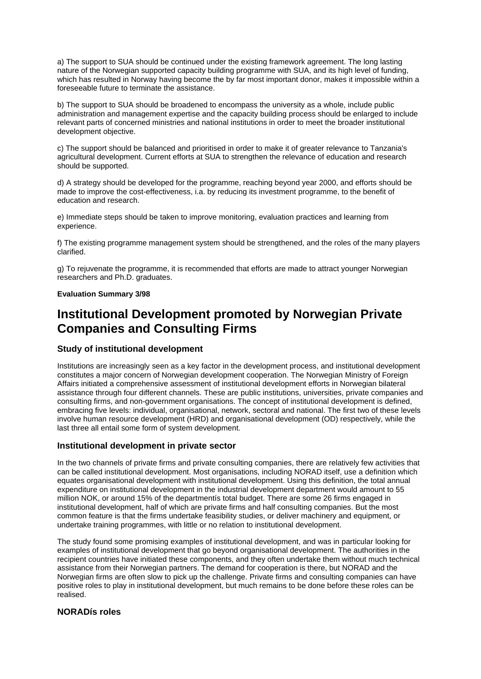a) The support to SUA should be continued under the existing framework agreement. The long lasting nature of the Norwegian supported capacity building programme with SUA, and its high level of funding, which has resulted in Norway having become the by far most important donor, makes it impossible within a foreseeable future to terminate the assistance.

b) The support to SUA should be broadened to encompass the university as a whole, include public administration and management expertise and the capacity building process should be enlarged to include relevant parts of concerned ministries and national institutions in order to meet the broader institutional development objective.

c) The support should be balanced and prioritised in order to make it of greater relevance to Tanzania's agricultural development. Current efforts at SUA to strengthen the relevance of education and research should be supported.

d) A strategy should be developed for the programme, reaching beyond year 2000, and efforts should be made to improve the cost-effectiveness, i.a. by reducing its investment programme, to the benefit of education and research.

e) Immediate steps should be taken to improve monitoring, evaluation practices and learning from experience.

f) The existing programme management system should be strengthened, and the roles of the many players clarified.

g) To rejuvenate the programme, it is recommended that efforts are made to attract younger Norwegian researchers and Ph.D. graduates.

#### **Evaluation Summary 3/98**

# **Institutional Development promoted by Norwegian Private Companies and Consulting Firms**

## **Study of institutional development**

Institutions are increasingly seen as a key factor in the development process, and institutional development constitutes a major concern of Norwegian development cooperation. The Norwegian Ministry of Foreign Affairs initiated a comprehensive assessment of institutional development efforts in Norwegian bilateral assistance through four different channels. These are public institutions, universities, private companies and consulting firms, and non-government organisations. The concept of institutional development is defined, embracing five levels: individual, organisational, network, sectoral and national. The first two of these levels involve human resource development (HRD) and organisational development (OD) respectively, while the last three all entail some form of system development.

## **Institutional development in private sector**

In the two channels of private firms and private consulting companies, there are relatively few activities that can be called institutional development. Most organisations, including NORAD itself, use a definition which equates organisational development with institutional development. Using this definition, the total annual expenditure on institutional development in the industrial development department would amount to 55 million NOK, or around 15% of the departmentís total budget. There are some 26 firms engaged in institutional development, half of which are private firms and half consulting companies. But the most common feature is that the firms undertake feasibility studies, or deliver machinery and equipment, or undertake training programmes, with little or no relation to institutional development.

The study found some promising examples of institutional development, and was in particular looking for examples of institutional development that go beyond organisational development. The authorities in the recipient countries have initiated these components, and they often undertake them without much technical assistance from their Norwegian partners. The demand for cooperation is there, but NORAD and the Norwegian firms are often slow to pick up the challenge. Private firms and consulting companies can have positive roles to play in institutional development, but much remains to be done before these roles can be realised.

## **NORADís roles**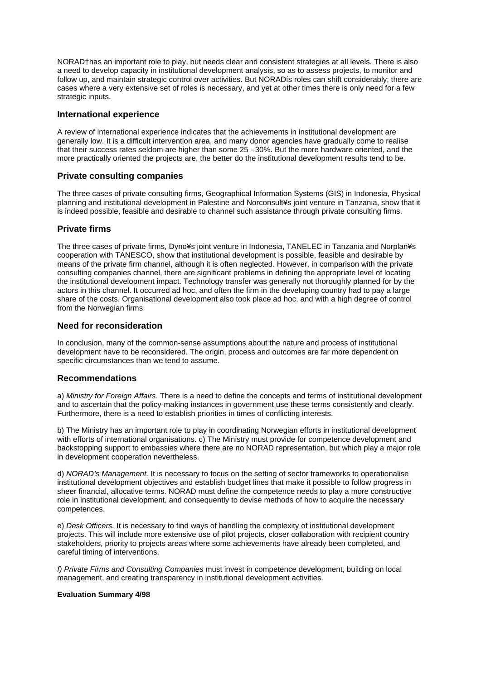NORAD†has an important role to play, but needs clear and consistent strategies at all levels. There is also a need to develop capacity in institutional development analysis, so as to assess projects, to monitor and follow up, and maintain strategic control over activities. But NORADís roles can shift considerably; there are cases where a very extensive set of roles is necessary, and yet at other times there is only need for a few strategic inputs.

#### **International experience**

A review of international experience indicates that the achievements in institutional development are generally low. It is a difficult intervention area, and many donor agencies have gradually come to realise that their success rates seldom are higher than some 25 - 30%. But the more hardware oriented, and the more practically oriented the projects are, the better do the institutional development results tend to be.

## **Private consulting companies**

The three cases of private consulting firms, Geographical Information Systems (GIS) in Indonesia, Physical planning and institutional development in Palestine and Norconsult¥s joint venture in Tanzania, show that it is indeed possible, feasible and desirable to channel such assistance through private consulting firms.

## **Private firms**

The three cases of private firms, Dyno¥s joint venture in Indonesia, TANELEC in Tanzania and Norplan¥s cooperation with TANESCO, show that institutional development is possible, feasible and desirable by means of the private firm channel, although it is often neglected. However, in comparison with the private consulting companies channel, there are significant problems in defining the appropriate level of locating the institutional development impact. Technology transfer was generally not thoroughly planned for by the actors in this channel. It occurred ad hoc, and often the firm in the developing country had to pay a large share of the costs. Organisational development also took place ad hoc, and with a high degree of control from the Norwegian firms

## **Need for reconsideration**

In conclusion, many of the common-sense assumptions about the nature and process of institutional development have to be reconsidered. The origin, process and outcomes are far more dependent on specific circumstances than we tend to assume.

## **Recommendations**

a) *Ministry for Foreign Affairs*. There is a need to define the concepts and terms of institutional development and to ascertain that the policy-making instances in government use these terms consistently and clearly. Furthermore, there is a need to establish priorities in times of conflicting interests.

b) The Ministry has an important role to play in coordinating Norwegian efforts in institutional development with efforts of international organisations. c) The Ministry must provide for competence development and backstopping support to embassies where there are no NORAD representation, but which play a major role in development cooperation nevertheless.

d) *NORAD's Management.* It is necessary to focus on the setting of sector frameworks to operationalise institutional development objectives and establish budget lines that make it possible to follow progress in sheer financial, allocative terms. NORAD must define the competence needs to play a more constructive role in institutional development, and consequently to devise methods of how to acquire the necessary competences.

e) *Desk Officers.* It is necessary to find ways of handling the complexity of institutional development projects. This will include more extensive use of pilot projects, closer collaboration with recipient country stakeholders, priority to projects areas where some achievements have already been completed, and careful timing of interventions.

*f) Private Firms and Consulting Companies* must invest in competence development, building on local management, and creating transparency in institutional development activities.

#### **Evaluation Summary 4/98**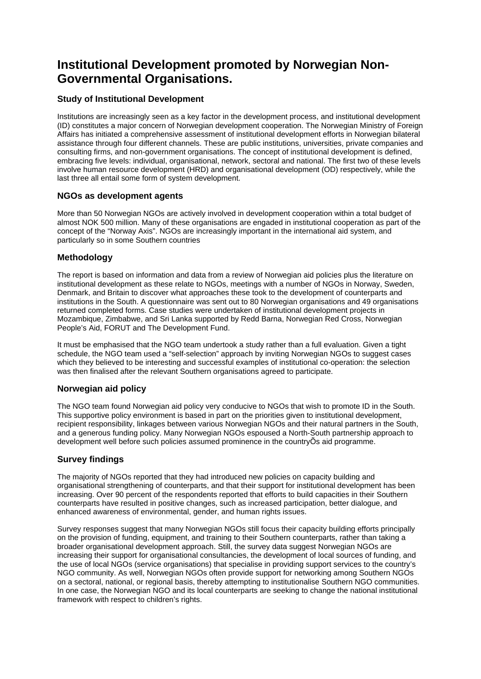# **Institutional Development promoted by Norwegian Non-Governmental Organisations.**

## **Study of Institutional Development**

Institutions are increasingly seen as a key factor in the development process, and institutional development (ID) constitutes a major concern of Norwegian development cooperation. The Norwegian Ministry of Foreign Affairs has initiated a comprehensive assessment of institutional development efforts in Norwegian bilateral assistance through four different channels. These are public institutions, universities, private companies and consulting firms, and non-government organisations. The concept of institutional development is defined, embracing five levels: individual, organisational, network, sectoral and national. The first two of these levels involve human resource development (HRD) and organisational development (OD) respectively, while the last three all entail some form of system development.

## **NGOs as development agents**

More than 50 Norwegian NGOs are actively involved in development cooperation within a total budget of almost NOK 500 million. Many of these organisations are engaded in institutional cooperation as part of the concept of the "Norway Axis". NGOs are increasingly important in the international aid system, and particularly so in some Southern countries

## **Methodology**

The report is based on information and data from a review of Norwegian aid policies plus the literature on institutional development as these relate to NGOs, meetings with a number of NGOs in Norway, Sweden, Denmark, and Britain to discover what approaches these took to the development of counterparts and institutions in the South. A questionnaire was sent out to 80 Norwegian organisations and 49 organisations returned completed forms. Case studies were undertaken of institutional development projects in Mozambique, Zimbabwe, and Sri Lanka supported by Redd Barna, Norwegian Red Cross, Norwegian People's Aid, FORUT and The Development Fund.

It must be emphasised that the NGO team undertook a study rather than a full evaluation. Given a tight schedule, the NGO team used a "self-selection" approach by inviting Norwegian NGOs to suggest cases which they believed to be interesting and successful examples of institutional co-operation: the selection was then finalised after the relevant Southern organisations agreed to participate.

## **Norwegian aid policy**

The NGO team found Norwegian aid policy very conducive to NGOs that wish to promote ID in the South. This supportive policy environment is based in part on the priorities given to institutional development, recipient responsibility, linkages between various Norwegian NGOs and their natural partners in the South, and a generous funding policy. Many Norwegian NGOs espoused a North-South partnership approach to development well before such policies assumed prominence in the countryÕs aid programme.

## **Survey findings**

The majority of NGOs reported that they had introduced new policies on capacity building and organisational strengthening of counterparts, and that their support for institutional development has been increasing. Over 90 percent of the respondents reported that efforts to build capacities in their Southern counterparts have resulted in positive changes, such as increased participation, better dialogue, and enhanced awareness of environmental, gender, and human rights issues.

Survey responses suggest that many Norwegian NGOs still focus their capacity building efforts principally on the provision of funding, equipment, and training to their Southern counterparts, rather than taking a broader organisational development approach. Still, the survey data suggest Norwegian NGOs are increasing their support for organisational consultancies, the development of local sources of funding, and the use of local NGOs (service organisations) that specialise in providing support services to the country's NGO community. As well, Norwegian NGOs often provide support for networking among Southern NGOs on a sectoral, national, or regional basis, thereby attempting to institutionalise Southern NGO communities. In one case, the Norwegian NGO and its local counterparts are seeking to change the national institutional framework with respect to children's rights.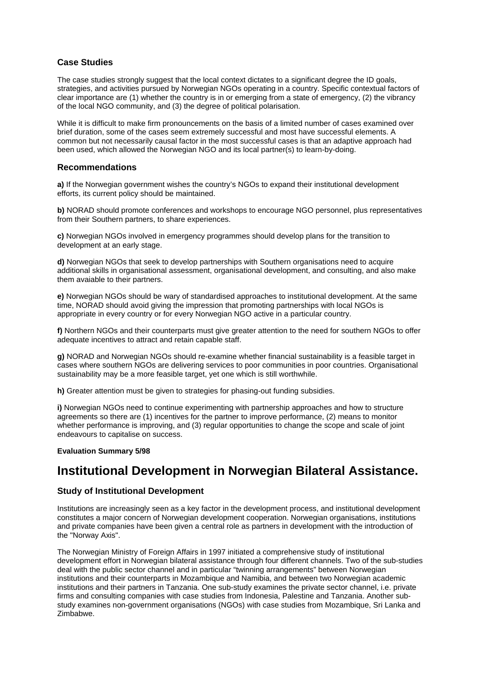## **Case Studies**

The case studies strongly suggest that the local context dictates to a significant degree the ID goals, strategies, and activities pursued by Norwegian NGOs operating in a country. Specific contextual factors of clear importance are (1) whether the country is in or emerging from a state of emergency, (2) the vibrancy of the local NGO community, and (3) the degree of political polarisation.

While it is difficult to make firm pronouncements on the basis of a limited number of cases examined over brief duration, some of the cases seem extremely successful and most have successful elements. A common but not necessarily causal factor in the most successful cases is that an adaptive approach had been used, which allowed the Norwegian NGO and its local partner(s) to learn-by-doing.

#### **Recommendations**

**a)** If the Norwegian government wishes the country's NGOs to expand their institutional development efforts, its current policy should be maintained.

**b)** NORAD should promote conferences and workshops to encourage NGO personnel, plus representatives from their Southern partners, to share experiences.

**c)** Norwegian NGOs involved in emergency programmes should develop plans for the transition to development at an early stage.

**d)** Norwegian NGOs that seek to develop partnerships with Southern organisations need to acquire additional skills in organisational assessment, organisational development, and consulting, and also make them avaiable to their partners.

**e)** Norwegian NGOs should be wary of standardised approaches to institutional development. At the same time, NORAD should avoid giving the impression that promoting partnerships with local NGOs is appropriate in every country or for every Norwegian NGO active in a particular country.

**f)** Northern NGOs and their counterparts must give greater attention to the need for southern NGOs to offer adequate incentives to attract and retain capable staff.

**g)** NORAD and Norwegian NGOs should re-examine whether financial sustainability is a feasible target in cases where southern NGOs are delivering services to poor communities in poor countries. Organisational sustainability may be a more feasible target, yet one which is still worthwhile.

**h)** Greater attention must be given to strategies for phasing-out funding subsidies.

**i)** Norwegian NGOs need to continue experimenting with partnership approaches and how to structure agreements so there are (1) incentives for the partner to improve performance, (2) means to monitor whether performance is improving, and (3) regular opportunities to change the scope and scale of joint endeavours to capitalise on success.

#### **Evaluation Summary 5/98**

# **Institutional Development in Norwegian Bilateral Assistance.**

## **Study of Institutional Development**

Institutions are increasingly seen as a key factor in the development process, and institutional development constitutes a major concern of Norwegian development cooperation. Norwegian organisations, institutions and private companies have been given a central role as partners in development with the introduction of the "Norway Axis".

The Norwegian Ministry of Foreign Affairs in 1997 initiated a comprehensive study of institutional development effort in Norwegian bilateral assistance through four different channels. Two of the sub-studies deal with the public sector channel and in particular "twinning arrangements" between Norwegian institutions and their counterparts in Mozambique and Namibia, and between two Norwegian academic institutions and their partners in Tanzania. One sub-study examines the private sector channel, i.e. private firms and consulting companies with case studies from Indonesia, Palestine and Tanzania. Another substudy examines non-government organisations (NGOs) with case studies from Mozambique, Sri Lanka and Zimbabwe.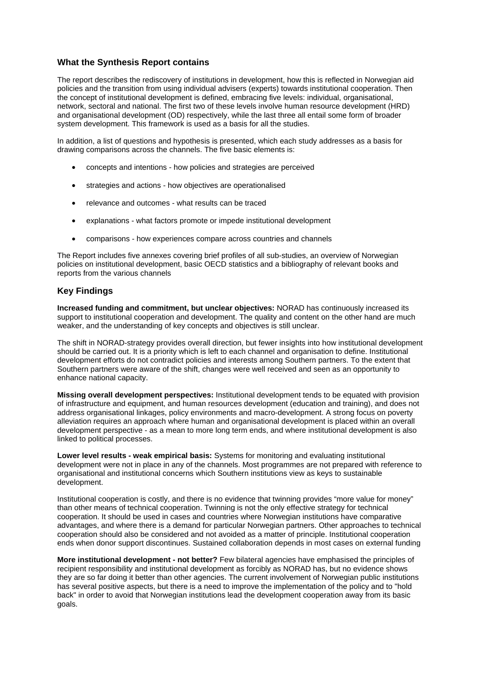## **What the Synthesis Report contains**

The report describes the rediscovery of institutions in development, how this is reflected in Norwegian aid policies and the transition from using individual advisers (experts) towards institutional cooperation. Then the concept of institutional development is defined, embracing five levels: individual, organisational, network, sectoral and national. The first two of these levels involve human resource development (HRD) and organisational development (OD) respectively, while the last three all entail some form of broader system development. This framework is used as a basis for all the studies.

In addition, a list of questions and hypothesis is presented, which each study addresses as a basis for drawing comparisons across the channels. The five basic elements is:

- concepts and intentions how policies and strategies are perceived
- strategies and actions how objectives are operationalised
- relevance and outcomes what results can be traced
- explanations what factors promote or impede institutional development
- comparisons how experiences compare across countries and channels

The Report includes five annexes covering brief profiles of all sub-studies, an overview of Norwegian policies on institutional development, basic OECD statistics and a bibliography of relevant books and reports from the various channels

## **Key Findings**

**Increased funding and commitment, but unclear objectives:** NORAD has continuously increased its support to institutional cooperation and development. The quality and content on the other hand are much weaker, and the understanding of key concepts and objectives is still unclear.

The shift in NORAD-strategy provides overall direction, but fewer insights into how institutional development should be carried out. It is a priority which is left to each channel and organisation to define. Institutional development efforts do not contradict policies and interests among Southern partners. To the extent that Southern partners were aware of the shift, changes were well received and seen as an opportunity to enhance national capacity.

**Missing overall development perspectives:** Institutional development tends to be equated with provision of infrastructure and equipment, and human resources development (education and training), and does not address organisational linkages, policy environments and macro-development. A strong focus on poverty alleviation requires an approach where human and organisational development is placed within an overall development perspective - as a mean to more long term ends, and where institutional development is also linked to political processes.

**Lower level results - weak empirical basis:** Systems for monitoring and evaluating institutional development were not in place in any of the channels. Most programmes are not prepared with reference to organisational and institutional concerns which Southern institutions view as keys to sustainable development.

Institutional cooperation is costly, and there is no evidence that twinning provides "more value for money" than other means of technical cooperation. Twinning is not the only effective strategy for technical cooperation. It should be used in cases and countries where Norwegian institutions have comparative advantages, and where there is a demand for particular Norwegian partners. Other approaches to technical cooperation should also be considered and not avoided as a matter of principle. Institutional cooperation ends when donor support discontinues. Sustained collaboration depends in most cases on external funding

**More institutional development - not better?** Few bilateral agencies have emphasised the principles of recipient responsibility and institutional development as forcibly as NORAD has, but no evidence shows they are so far doing it better than other agencies. The current involvement of Norwegian public institutions has several positive aspects, but there is a need to improve the implementation of the policy and to "hold back" in order to avoid that Norwegian institutions lead the development cooperation away from its basic goals.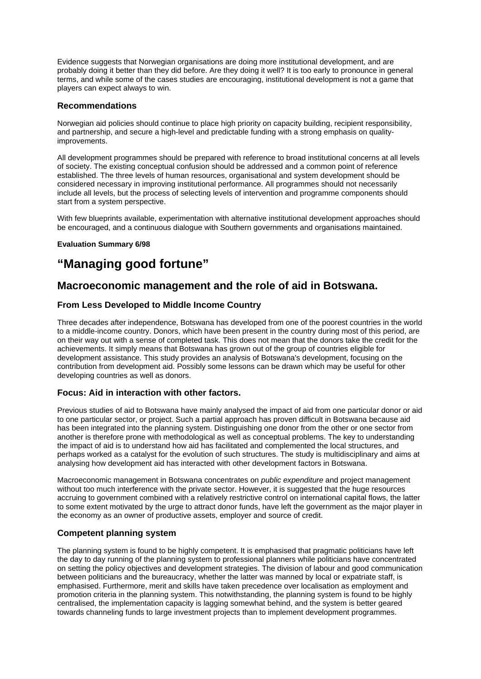Evidence suggests that Norwegian organisations are doing more institutional development, and are probably doing it better than they did before. Are they doing it well? It is too early to pronounce in general terms, and while some of the cases studies are encouraging, institutional development is not a game that players can expect always to win.

## **Recommendations**

Norwegian aid policies should continue to place high priority on capacity building, recipient responsibility, and partnership, and secure a high-level and predictable funding with a strong emphasis on qualityimprovements.

All development programmes should be prepared with reference to broad institutional concerns at all levels of society. The existing conceptual confusion should be addressed and a common point of reference established. The three levels of human resources, organisational and system development should be considered necessary in improving institutional performance. All programmes should not necessarily include all levels, but the process of selecting levels of intervention and programme components should start from a system perspective.

With few blueprints available, experimentation with alternative institutional development approaches should be encouraged, and a continuous dialogue with Southern governments and organisations maintained.

## **Evaluation Summary 6/98**

# **"Managing good fortune"**

# **Macroeconomic management and the role of aid in Botswana.**

## **From Less Developed to Middle Income Country**

Three decades after independence, Botswana has developed from one of the poorest countries in the world to a middle-income country. Donors, which have been present in the country during most of this period, are on their way out with a sense of completed task. This does not mean that the donors take the credit for the achievements. It simply means that Botswana has grown out of the group of countries eligible for development assistance. This study provides an analysis of Botswana's development, focusing on the contribution from development aid. Possibly some lessons can be drawn which may be useful for other developing countries as well as donors.

## **Focus: Aid in interaction with other factors.**

Previous studies of aid to Botswana have mainly analysed the impact of aid from one particular donor or aid to one particular sector, or project. Such a partial approach has proven difficult in Botswana because aid has been integrated into the planning system. Distinguishing one donor from the other or one sector from another is therefore prone with methodological as well as conceptual problems. The key to understanding the impact of aid is to understand how aid has facilitated and complemented the local structures, and perhaps worked as a catalyst for the evolution of such structures. The study is multidisciplinary and aims at analysing how development aid has interacted with other development factors in Botswana.

Macroeconomic management in Botswana concentrates on *public expenditure* and project management without too much interference with the private sector. However, it is suggested that the huge resources accruing to government combined with a relatively restrictive control on international capital flows, the latter to some extent motivated by the urge to attract donor funds, have left the government as the major player in the economy as an owner of productive assets, employer and source of credit.

## **Competent planning system**

The planning system is found to be highly competent. It is emphasised that pragmatic politicians have left the day to day running of the planning system to professional planners while politicians have concentrated on setting the policy objectives and development strategies. The division of labour and good communication between politicians and the bureaucracy, whether the latter was manned by local or expatriate staff, is emphasised. Furthermore, merit and skills have taken precedence over localisation as employment and promotion criteria in the planning system. This notwithstanding, the planning system is found to be highly centralised, the implementation capacity is lagging somewhat behind, and the system is better geared towards channeling funds to large investment projects than to implement development programmes.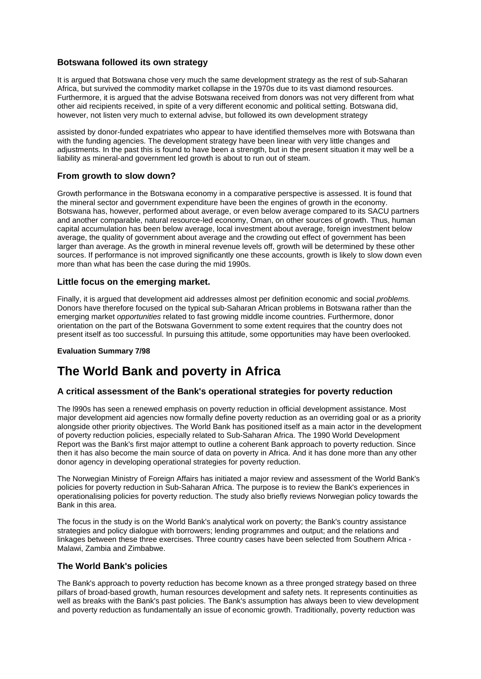## **Botswana followed its own strategy**

It is argued that Botswana chose very much the same development strategy as the rest of sub-Saharan Africa, but survived the commodity market collapse in the 1970s due to its vast diamond resources. Furthermore, it is argued that the advise Botswana received from donors was not very different from what other aid recipients received, in spite of a very different economic and political setting. Botswana did, however, not listen very much to external advise, but followed its own development strategy

assisted by donor-funded expatriates who appear to have identified themselves more with Botswana than with the funding agencies. The development strategy have been linear with very little changes and adjustments. In the past this is found to have been a strength, but in the present situation it may well be a liability as mineral-and government led growth is about to run out of steam.

## **From growth to slow down?**

Growth performance in the Botswana economy in a comparative perspective is assessed. It is found that the mineral sector and government expenditure have been the engines of growth in the economy. Botswana has, however, performed about average, or even below average compared to its SACU partners and another comparable, natural resource-led economy, Oman, on other sources of growth. Thus, human capital accumulation has been below average, local investment about average, foreign investment below average, the quality of government about average and the crowding out effect of government has been larger than average. As the growth in mineral revenue levels off, growth will be determined by these other sources. If performance is not improved significantly one these accounts, growth is likely to slow down even more than what has been the case during the mid 1990s.

## **Little focus on the emerging market.**

Finally, it is argued that development aid addresses almost per definition economic and social *problems.*  Donors have therefore focused on the typical sub-Saharan African problems in Botswana rather than the emerging market *opportunities* related to fast growing middle income countries. Furthermore, donor orientation on the part of the Botswana Government to some extent requires that the country does not present itself as too successful. In pursuing this attitude, some opportunities may have been overlooked.

#### **Evaluation Summary 7/98**

# **The World Bank and poverty in Africa**

## **A critical assessment of the Bank's operational strategies for poverty reduction**

The l990s has seen a renewed emphasis on poverty reduction in official development assistance. Most major development aid agencies now formally define poverty reduction as an overriding goal or as a priority alongside other priority objectives. The World Bank has positioned itself as a main actor in the development of poverty reduction policies, especially related to Sub-Saharan Africa. The 1990 World Development Report was the Bank's first major attempt to outline a coherent Bank approach to poverty reduction. Since then it has also become the main source of data on poverty in Africa. And it has done more than any other donor agency in developing operational strategies for poverty reduction.

The Norwegian Ministry of Foreign Affairs has initiated a major review and assessment of the World Bank's policies for poverty reduction in Sub-Saharan Africa. The purpose is to review the Bank's experiences in operationalising policies for poverty reduction. The study also briefly reviews Norwegian policy towards the Bank in this area.

The focus in the study is on the World Bank's analytical work on poverty; the Bank's country assistance strategies and policy dialogue with borrowers; lending programmes and output; and the relations and linkages between these three exercises. Three country cases have been selected from Southern Africa - Malawi, Zambia and Zimbabwe.

## **The World Bank's policies**

The Bank's approach to poverty reduction has become known as a three pronged strategy based on three pillars of broad-based growth, human resources development and safety nets. It represents continuities as well as breaks with the Bank's past policies. The Bank's assumption has always been to view development and poverty reduction as fundamentally an issue of economic growth. Traditionally, poverty reduction was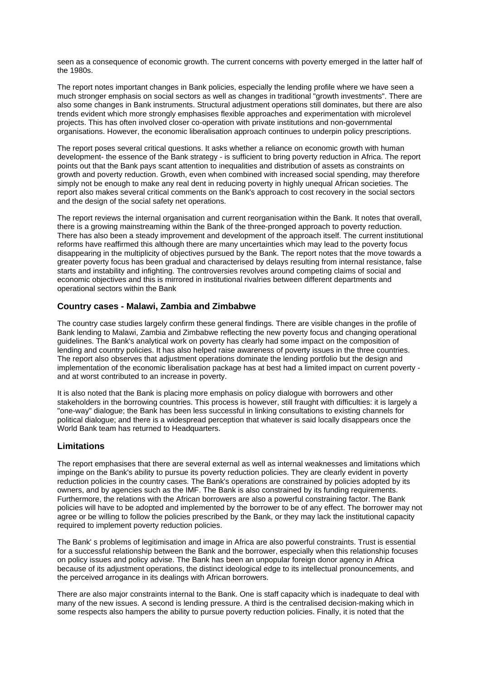seen as a consequence of economic growth. The current concerns with poverty emerged in the latter half of the 1980s.

The report notes important changes in Bank policies, especially the lending profile where we have seen a much stronger emphasis on social sectors as well as changes in traditional "growth investments". There are also some changes in Bank instruments. Structural adjustment operations still dominates, but there are also trends evident which more strongly emphasises flexible approaches and experimentation with microlevel projects. This has often involved closer co-operation with private institutions and non-governmental organisations. However, the economic liberalisation approach continues to underpin policy prescriptions.

The report poses several critical questions. It asks whether a reliance on economic growth with human development- the essence of the Bank strategy - is sufficient to bring poverty reduction in Africa. The report points out that the Bank pays scant attention to inequalities and distribution of assets as constraints on growth and poverty reduction. Growth, even when combined with increased social spending, may therefore simply not be enough to make any real dent in reducing poverty in highly unequal African societies. The report also makes several critical comments on the Bank's approach to cost recovery in the social sectors and the design of the social safety net operations.

The report reviews the internal organisation and current reorganisation within the Bank. It notes that overall, there is a growing mainstreaming within the Bank of the three-pronged approach to poverty reduction. There has also been a steady improvement and development of the approach itself. The current institutional reforms have reaffirmed this although there are many uncertainties which may lead to the poverty focus disappearing in the multiplicity of objectives pursued by the Bank. The report notes that the move towards a greater poverty focus has been gradual and characterised by delays resulting from internal resistance, false starts and instability and infighting. The controversies revolves around competing claims of social and economic objectives and this is mirrored in institutional rivalries between different departments and operational sectors within the Bank

## **Country cases - Malawi, Zambia and Zimbabwe**

The country case studies largely confirm these general findings. There are visible changes in the profile of Bank lending to Malawi, Zambia and Zimbabwe reflecting the new poverty focus and changing operational guidelines. The Bank's analytical work on poverty has clearly had some impact on the composition of lending and country policies. It has also helped raise awareness of poverty issues in the three countries. The report also observes that adjustment operations dominate the lending portfolio but the design and implementation of the economic liberalisation package has at best had a limited impact on current poverty and at worst contributed to an increase in poverty.

It is also noted that the Bank is placing more emphasis on policy dialogue with borrowers and other stakeholders in the borrowing countries. This process is however, still fraught with difficulties: it is largely a "one-way" dialogue; the Bank has been less successful in linking consultations to existing channels for political dialogue; and there is a widespread perception that whatever is said locally disappears once the World Bank team has returned to Headquarters.

#### **Limitations**

The report emphasises that there are several external as well as internal weaknesses and limitations which impinge on the Bank's ability to pursue its poverty reduction policies. They are clearly evident in poverty reduction policies in the country cases. The Bank's operations are constrained by policies adopted by its owners, and by agencies such as the IMF. The Bank is also constrained by its funding requirements. Furthermore, the relations with the African borrowers are also a powerful constraining factor. The Bank policies will have to be adopted and implemented by the borrower to be of any effect. The borrower may not agree or be willing to follow the policies prescribed by the Bank, or they may lack the institutional capacity required to implement poverty reduction policies.

The Bank' s problems of legitimisation and image in Africa are also powerful constraints. Trust is essential for a successful relationship between the Bank and the borrower, especially when this relationship focuses on policy issues and policy advise. The Bank has been an unpopular foreign donor agency in Africa because of its adjustment operations, the distinct ideological edge to its intellectual pronouncements, and the perceived arrogance in its dealings with African borrowers.

There are also major constraints internal to the Bank. One is staff capacity which is inadequate to deal with many of the new issues. A second is lending pressure. A third is the centralised decision-making which in some respects also hampers the ability to pursue poverty reduction policies. Finally, it is noted that the